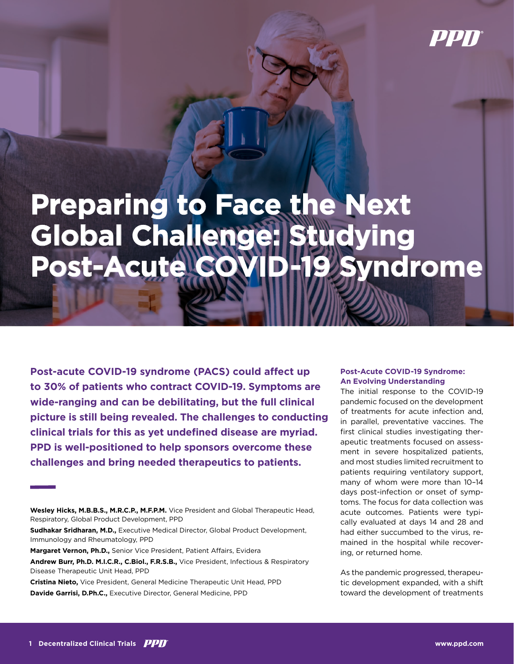

# **Preparing to Face the Next Global Challenge: Studying Post-Acute COVID-19 Syndrome**

**Post-acute COVID-19 syndrome (PACS) could affect up to 30% of patients who contract COVID-19. Symptoms are wide-ranging and can be debilitating, but the full clinical picture is still being revealed. The challenges to conducting clinical trials for this as yet undefined disease are myriad. PPD is well-positioned to help sponsors overcome these challenges and bring needed therapeutics to patients.**

**Margaret Vernon, Ph.D.,** Senior Vice President, Patient Affairs, Evidera

**Cristina Nieto,** Vice President, General Medicine Therapeutic Unit Head, PPD **Davide Garrisi, D.Ph.C.,** Executive Director, General Medicine, PPD

### **Post-Acute COVID-19 Syndrome: An Evolving Understanding**

The initial response to the COVID-19 pandemic focused on the development of treatments for acute infection and, in parallel, preventative vaccines. The first clinical studies investigating therapeutic treatments focused on assessment in severe hospitalized patients, and most studies limited recruitment to patients requiring ventilatory support, many of whom were more than 10–14 days post-infection or onset of symptoms. The focus for data collection was acute outcomes. Patients were typically evaluated at days 14 and 28 and had either succumbed to the virus, remained in the hospital while recovering, or returned home.

As the pandemic progressed, therapeutic development expanded, with a shift toward the development of treatments

**Wesley Hicks, M.B.B.S., M.R.C.P., M.F.P.M.** Vice President and Global Therapeutic Head, Respiratory, Global Product Development, PPD

**Sudhakar Sridharan, M.D.,** Executive Medical Director, Global Product Development, Immunology and Rheumatology, PPD

**Andrew Burr, Ph.D. M.I.C.R., C.Biol., F.R.S.B.,** Vice President, Infectious & Respiratory Disease Therapeutic Unit Head, PPD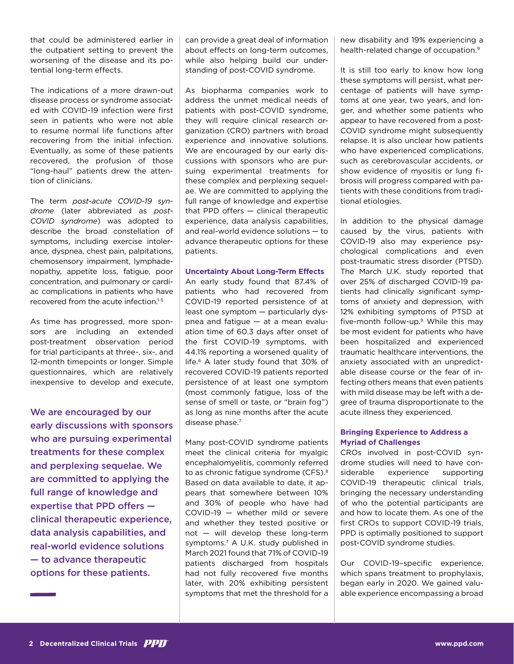that could be administered earlier in the outpatient setting to prevent the worsening of the disease and its potential long-term effects.

The indications of a more drawn-out disease process or syndrome associated with COVID-19 infection were first seen in patients who were not able to resume normal life functions after recovering from the initial infection. Eventually, as some of these patients recovered, the profusion of those "long-haul" patients drew the attention of clinicians.

The term *post-acute COVID-19 syndrome* (later abbreviated as *post-COVID syndrome*) was adopted to describe the broad constellation of symptoms, including exercise intolerance, dyspnea, chest pain, palpitations, chemosensory impairment, lymphadenopathy, appetite loss, fatigue, poor concentration, and pulmonary or cardiac complications in patients who have recovered from the acute infection.1-5

As time has progressed, more sponsors are including an extended post-treatment observation period for trial participants at three-, six-, and 12-month timepoints or longer. Simple questionnaires, which are relatively inexpensive to develop and execute,

We are encouraged by our early discussions with sponsors who are pursuing experimental treatments for these complex and perplexing sequelae. We are committed to applying the full range of knowledge and expertise that PPD offers clinical therapeutic experience, data analysis capabilities, and real-world evidence solutions — to advance therapeutic options for these patients.

can provide a great deal of information about effects on long-term outcomes, while also helping build our understanding of post-COVID syndrome.

As biopharma companies work to address the unmet medical needs of patients with post-COVID syndrome, they will require clinical research organization (CRO) partners with broad experience and innovative solutions. We are encouraged by our early discussions with sponsors who are pursuing experimental treatments for these complex and perplexing sequelae. We are committed to applying the full range of knowledge and expertise that PPD offers — clinical therapeutic experience, data analysis capabilities, and real-world evidence solutions — to advance therapeutic options for these patients.

#### **Uncertainty About Long-Term Effects**

An early study found that 87.4% of patients who had recovered from COVID-19 reported persistence of at least one symptom — particularly dyspnea and fatigue — at a mean evaluation time of 60.3 days after onset of the first COVID-19 symptoms, with 44.1% reporting a worsened quality of life.6 A later study found that 30% of recovered COVID-19 patients reported persistence of at least one symptom (most commonly fatigue, loss of the sense of smell or taste, or "brain fog") as long as nine months after the acute disease phase.7

Many post-COVID syndrome patients meet the clinical criteria for myalgic encephalomyelitis, commonly referred to as chronic fatigue syndrome (CFS).<sup>8</sup> Based on data available to date, it appears that somewhere between 10% and 30% of people who have had COVID-19 — whether mild or severe and whether they tested positive or not — will develop these long-term symptoms.7 A U.K. study published in March 2021 found that 71% of COVID-19 patients discharged from hospitals had not fully recovered five months later, with 20% exhibiting persistent symptoms that met the threshold for a new disability and 19% experiencing a health-related change of occupation.9

It is still too early to know how long these symptoms will persist, what percentage of patients will have symptoms at one year, two years, and longer, and whether some patients who appear to have recovered from a post-COVID syndrome might subsequently relapse. It is also unclear how patients who have experienced complications. such as cerebrovascular accidents, or show evidence of myositis or lung fibrosis will progress compared with patients with these conditions from traditional etiologies.

In addition to the physical damage caused by the virus, patients with COVID-19 also may experience psychological complications and even post-traumatic stress disorder (PTSD). The March U.K. study reported that over 25% of discharged COVID-19 patients had clinically significant symptoms of anxiety and depression, with 12% exhibiting symptoms of PTSD at five-month follow-up.<sup>9</sup> While this may be most evident for patients who have been hospitalized and experienced traumatic healthcare interventions, the anxiety associated with an unpredictable disease course or the fear of infecting others means that even patients with mild disease may be left with a degree of trauma disproportionate to the acute illness they experienced.

## **Bringing Experience to Address a Myriad of Challenges**

CROs involved in post-COVID syndrome studies will need to have considerable experience supporting COVID-19 therapeutic clinical trials, bringing the necessary understanding of who the potential participants are and how to locate them. As one of the first CROs to support COVID-19 trials, PPD is optimally positioned to support post-COVID syndrome studies.

Our COVID-19–specific experience, which spans treatment to prophylaxis. began early in 2020. We gained valuable experience encompassing a broad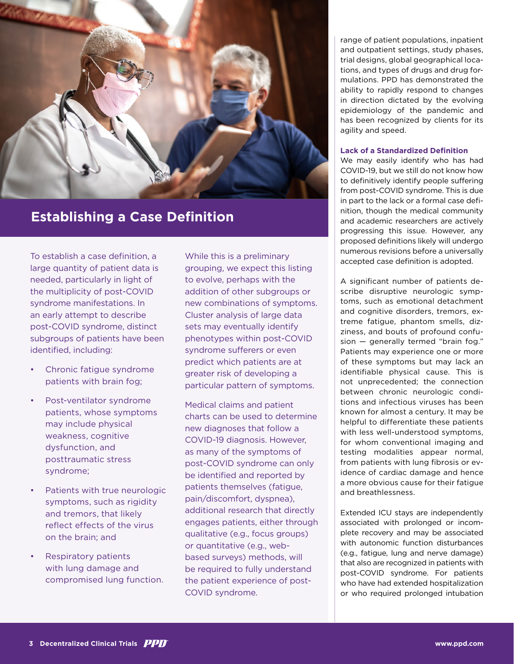

# **Establishing a Case Definition**

To establish a case definition, a large quantity of patient data is needed, particularly in light of the multiplicity of post-COVID syndrome manifestations. In an early attempt to describe post-COVID syndrome, distinct subgroups of patients have been identified, including:

- Chronic fatigue syndrome patients with brain fog;
- Post-ventilator syndrome patients, whose symptoms may include physical weakness, cognitive dysfunction, and posttraumatic stress syndrome;
- Patients with true neurologic symptoms, such as rigidity and tremors, that likely reflect effects of the virus on the brain; and
- Respiratory patients with lung damage and compromised lung function.

While this is a preliminary grouping, we expect this listing to evolve, perhaps with the addition of other subgroups or new combinations of symptoms. Cluster analysis of large data sets may eventually identify phenotypes within post-COVID syndrome sufferers or even predict which patients are at greater risk of developing a particular pattern of symptoms.

Medical claims and patient charts can be used to determine new diagnoses that follow a COVID-19 diagnosis. However, as many of the symptoms of post-COVID syndrome can only be identified and reported by patients themselves (fatigue, pain/discomfort, dyspnea), additional research that directly engages patients, either through qualitative (e.g., focus groups) or quantitative (e.g., webbased surveys) methods, will be required to fully understand the patient experience of post-COVID syndrome.

range of patient populations, inpatient and outpatient settings, study phases, trial designs, global geographical locations, and types of drugs and drug formulations. PPD has demonstrated the ability to rapidly respond to changes in direction dictated by the evolving epidemiology of the pandemic and has been recognized by clients for its agility and speed.

#### **Lack of a Standardized Definition**

We may easily identify who has had COVID-19, but we still do not know how to definitively identify people suffering from post-COVID syndrome. This is due in part to the lack or a formal case definition, though the medical community and academic researchers are actively progressing this issue. However, any proposed definitions likely will undergo numerous revisions before a universally accepted case definition is adopted.

A significant number of patients describe disruptive neurologic symptoms, such as emotional detachment and cognitive disorders, tremors, extreme fatigue, phantom smells, dizziness, and bouts of profound confusion — generally termed "brain fog." Patients may experience one or more of these symptoms but may lack an identifiable physical cause. This is not unprecedented; the connection between chronic neurologic conditions and infectious viruses has been known for almost a century. It may be helpful to differentiate these patients with less well-understood symptoms, for whom conventional imaging and testing modalities appear normal, from patients with lung fibrosis or evidence of cardiac damage and hence a more obvious cause for their fatigue and breathlessness.

Extended ICU stays are independently associated with prolonged or incomplete recovery and may be associated with autonomic function disturbances (e.g., fatigue, lung and nerve damage) that also are recognized in patients with post-COVID syndrome. For patients who have had extended hospitalization or who required prolonged intubation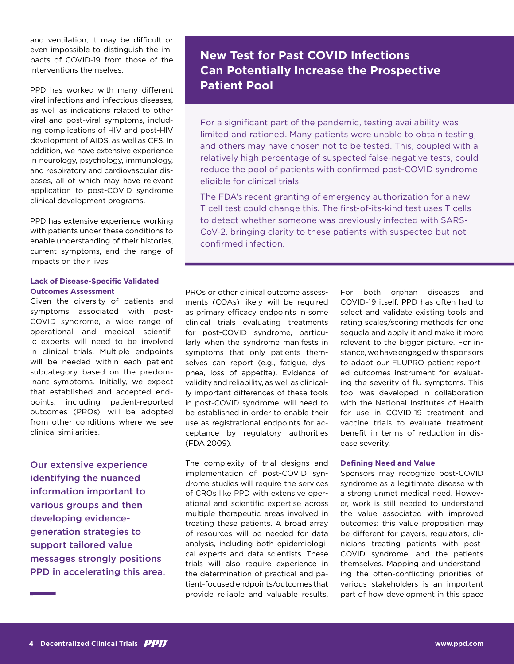and ventilation, it may be difficult or even impossible to distinguish the impacts of COVID-19 from those of the interventions themselves.

PPD has worked with many different viral infections and infectious diseases, as well as indications related to other viral and post-viral symptoms, including complications of HIV and post-HIV development of AIDS, as well as CFS. In addition, we have extensive experience in neurology, psychology, immunology, and respiratory and cardiovascular diseases, all of which may have relevant application to post-COVID syndrome clinical development programs.

PPD has extensive experience working with patients under these conditions to enable understanding of their histories, current symptoms, and the range of impacts on their lives.

### **Lack of Disease-Specific Validated Outcomes Assessment**

Given the diversity of patients and symptoms associated with post-COVID syndrome, a wide range of operational and medical scientific experts will need to be involved in clinical trials. Multiple endpoints will be needed within each patient subcategory based on the predominant symptoms. Initially, we expect that established and accepted endpoints, including patient-reported outcomes (PROs), will be adopted from other conditions where we see clinical similarities.

Our extensive experience identifying the nuanced information important to various groups and then developing evidencegeneration strategies to support tailored value messages strongly positions PPD in accelerating this area.

# **New Test for Past COVID Infections Can Potentially Increase the Prospective Patient Pool**

For a significant part of the pandemic, testing availability was limited and rationed. Many patients were unable to obtain testing, and others may have chosen not to be tested. This, coupled with a relatively high percentage of suspected false-negative tests, could reduce the pool of patients with confirmed post-COVID syndrome eligible for clinical trials.

The FDA's recent granting of emergency authorization for a new T cell test could change this. The first-of-its-kind test uses T cells to detect whether someone was previously infected with SARS-CoV-2, bringing clarity to these patients with suspected but not confirmed infection.

PROs or other clinical outcome assessments (COAs) likely will be required as primary efficacy endpoints in some clinical trials evaluating treatments for post-COVID syndrome, particularly when the syndrome manifests in symptoms that only patients themselves can report (e.g., fatigue, dyspnea, loss of appetite). Evidence of validity and reliability, as well as clinically important differences of these tools in post-COVID syndrome, will need to be established in order to enable their use as registrational endpoints for acceptance by regulatory authorities (FDA 2009).

The complexity of trial designs and implementation of post-COVID syndrome studies will require the services of CROs like PPD with extensive operational and scientific expertise across multiple therapeutic areas involved in treating these patients. A broad array of resources will be needed for data analysis, including both epidemiological experts and data scientists. These trials will also require experience in the determination of practical and patient-focused endpoints/outcomes that provide reliable and valuable results.

For both orphan diseases and COVID-19 itself, PPD has often had to select and validate existing tools and rating scales/scoring methods for one sequela and apply it and make it more relevant to the bigger picture. For instance, we have engaged with sponsors to adapt our FLUPRO patient-reported outcomes instrument for evaluating the severity of flu symptoms. This tool was developed in collaboration with the National Institutes of Health for use in COVID-19 treatment and vaccine trials to evaluate treatment benefit in terms of reduction in disease severity.

#### **Defining Need and Value**

Sponsors may recognize post-COVID syndrome as a legitimate disease with a strong unmet medical need. However, work is still needed to understand the value associated with improved outcomes: this value proposition may be different for payers, regulators, clinicians treating patients with post-COVID syndrome, and the patients themselves. Mapping and understanding the often-conflicting priorities of various stakeholders is an important part of how development in this space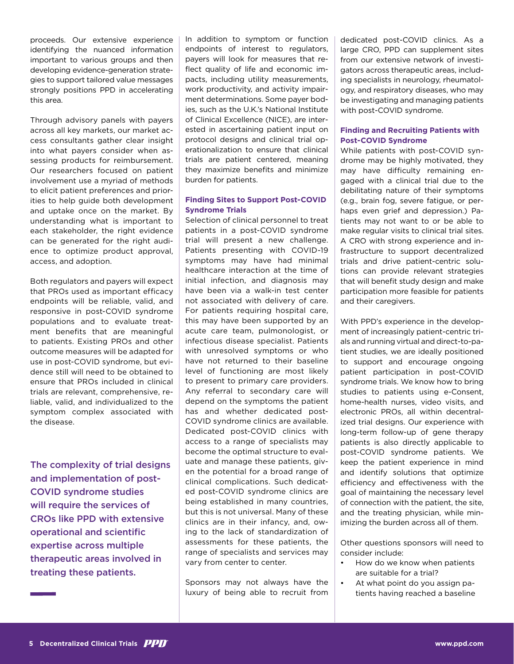proceeds. Our extensive experience identifying the nuanced information important to various groups and then developing evidence-generation strategies to support tailored value messages strongly positions PPD in accelerating this area.

Through advisory panels with payers across all key markets, our market access consultants gather clear insight into what payers consider when assessing products for reimbursement. Our researchers focused on patient involvement use a myriad of methods to elicit patient preferences and priorities to help guide both development and uptake once on the market. By understanding what is important to each stakeholder, the right evidence can be generated for the right audience to optimize product approval, access, and adoption.

Both regulators and payers will expect that PROs used as important efficacy endpoints will be reliable, valid, and responsive in post-COVID syndrome populations and to evaluate treatment benefits that are meaningful to patients. Existing PROs and other outcome measures will be adapted for use in post-COVID syndrome, but evidence still will need to be obtained to ensure that PROs included in clinical trials are relevant, comprehensive, reliable, valid, and individualized to the symptom complex associated with the disease.

The complexity of trial designs and implementation of post-COVID syndrome studies will require the services of CROs like PPD with extensive operational and scientific expertise across multiple therapeutic areas involved in treating these patients.

In addition to symptom or function endpoints of interest to regulators, payers will look for measures that reflect quality of life and economic impacts, including utility measurements, work productivity, and activity impairment determinations. Some payer bodies, such as the U.K.'s National Institute of Clinical Excellence (NICE), are interested in ascertaining patient input on protocol designs and clinical trial operationalization to ensure that clinical trials are patient centered, meaning they maximize benefits and minimize burden for patients.

# **Finding Sites to Support Post-COVID Syndrome Trials**

Selection of clinical personnel to treat patients in a post-COVID syndrome trial will present a new challenge. Patients presenting with COVID-19 symptoms may have had minimal healthcare interaction at the time of initial infection, and diagnosis may have been via a walk-in test center not associated with delivery of care. For patients requiring hospital care, this may have been supported by an acute care team, pulmonologist, or infectious disease specialist. Patients with unresolved symptoms or who have not returned to their baseline level of functioning are most likely to present to primary care providers. Any referral to secondary care will depend on the symptoms the patient has and whether dedicated post-COVID syndrome clinics are available. Dedicated post-COVID clinics with access to a range of specialists may become the optimal structure to evaluate and manage these patients, given the potential for a broad range of clinical complications. Such dedicated post-COVID syndrome clinics are being established in many countries, but this is not universal. Many of these clinics are in their infancy, and, owing to the lack of standardization of assessments for these patients, the range of specialists and services may vary from center to center.

Sponsors may not always have the luxury of being able to recruit from dedicated post-COVID clinics. As a large CRO, PPD can supplement sites from our extensive network of investigators across therapeutic areas, including specialists in neurology, rheumatology, and respiratory diseases, who may be investigating and managing patients with post-COVID syndrome.

# **Finding and Recruiting Patients with Post-COVID Syndrome**

While patients with post-COVID syndrome may be highly motivated, they may have difficulty remaining engaged with a clinical trial due to the debilitating nature of their symptoms (e.g., brain fog, severe fatigue, or perhaps even grief and depression.) Patients may not want to or be able to make regular visits to clinical trial sites. A CRO with strong experience and infrastructure to support decentralized trials and drive patient-centric solutions can provide relevant strategies that will benefit study design and make participation more feasible for patients and their caregivers.

With PPD's experience in the development of increasingly patient-centric trials and running virtual and direct-to-patient studies, we are ideally positioned to support and encourage ongoing patient participation in post-COVID syndrome trials. We know how to bring studies to patients using e-Consent, home-health nurses, video visits, and electronic PROs, all within decentralized trial designs. Our experience with long-term follow-up of gene therapy patients is also directly applicable to post-COVID syndrome patients. We keep the patient experience in mind and identify solutions that optimize efficiency and effectiveness with the goal of maintaining the necessary level of connection with the patient, the site, and the treating physician, while minimizing the burden across all of them.

Other questions sponsors will need to consider include:

- How do we know when patients are suitable for a trial?
- At what point do you assign patients having reached a baseline